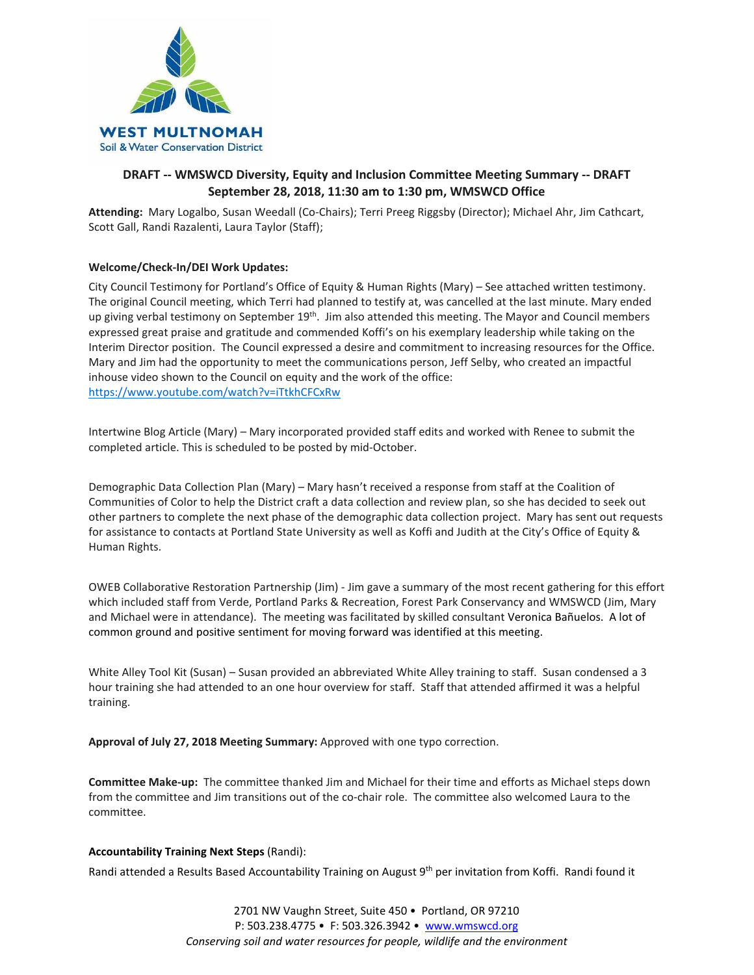

# **DRAFT -- WMSWCD Diversity, Equity and Inclusion Committee Meeting Summary -- DRAFT September 28, 2018, 11:30 am to 1:30 pm, WMSWCD Office**

**Attending:** Mary Logalbo, Susan Weedall (Co-Chairs); Terri Preeg Riggsby (Director); Michael Ahr, Jim Cathcart, Scott Gall, Randi Razalenti, Laura Taylor (Staff);

# **Welcome/Check-In/DEI Work Updates:**

City Council Testimony for Portland's Office of Equity & Human Rights (Mary) – See attached written testimony. The original Council meeting, which Terri had planned to testify at, was cancelled at the last minute. Mary ended up giving verbal testimony on September 19<sup>th</sup>. Jim also attended this meeting. The Mayor and Council members expressed great praise and gratitude and commended Koffi's on his exemplary leadership while taking on the Interim Director position. The Council expressed a desire and commitment to increasing resources for the Office. Mary and Jim had the opportunity to meet the communications person, Jeff Selby, who created an impactful inhouse video shown to the Council on equity and the work of the office: <https://www.youtube.com/watch?v=iTtkhCFCxRw>

Intertwine Blog Article (Mary) – Mary incorporated provided staff edits and worked with Renee to submit the completed article. This is scheduled to be posted by mid-October.

Demographic Data Collection Plan (Mary) – Mary hasn't received a response from staff at the Coalition of Communities of Color to help the District craft a data collection and review plan, so she has decided to seek out other partners to complete the next phase of the demographic data collection project. Mary has sent out requests for assistance to contacts at Portland State University as well as Koffi and Judith at the City's Office of Equity & Human Rights.

OWEB Collaborative Restoration Partnership (Jim) - Jim gave a summary of the most recent gathering for this effort which included staff from Verde, Portland Parks & Recreation, Forest Park Conservancy and WMSWCD (Jim, Mary and Michael were in attendance). The meeting was facilitated by skilled consultant Veronica Bañuelos. A lot of common ground and positive sentiment for moving forward was identified at this meeting.

White Alley Tool Kit (Susan) – Susan provided an abbreviated White Alley training to staff. Susan condensed a 3 hour training she had attended to an one hour overview for staff. Staff that attended affirmed it was a helpful training.

**Approval of July 27, 2018 Meeting Summary:** Approved with one typo correction.

**Committee Make-up:** The committee thanked Jim and Michael for their time and efforts as Michael steps down from the committee and Jim transitions out of the co-chair role. The committee also welcomed Laura to the committee.

## **Accountability Training Next Steps** (Randi):

Randi attended a Results Based Accountability Training on August 9<sup>th</sup> per invitation from Koffi. Randi found it

2701 NW Vaughn Street, Suite 450 • Portland, OR 97210 P: 503.238.4775 • F: 503.326.3942 • [www.wmswcd.org](http://www.wmswcd.org/) *Conserving soil and water resources for people, wildlife and the environment*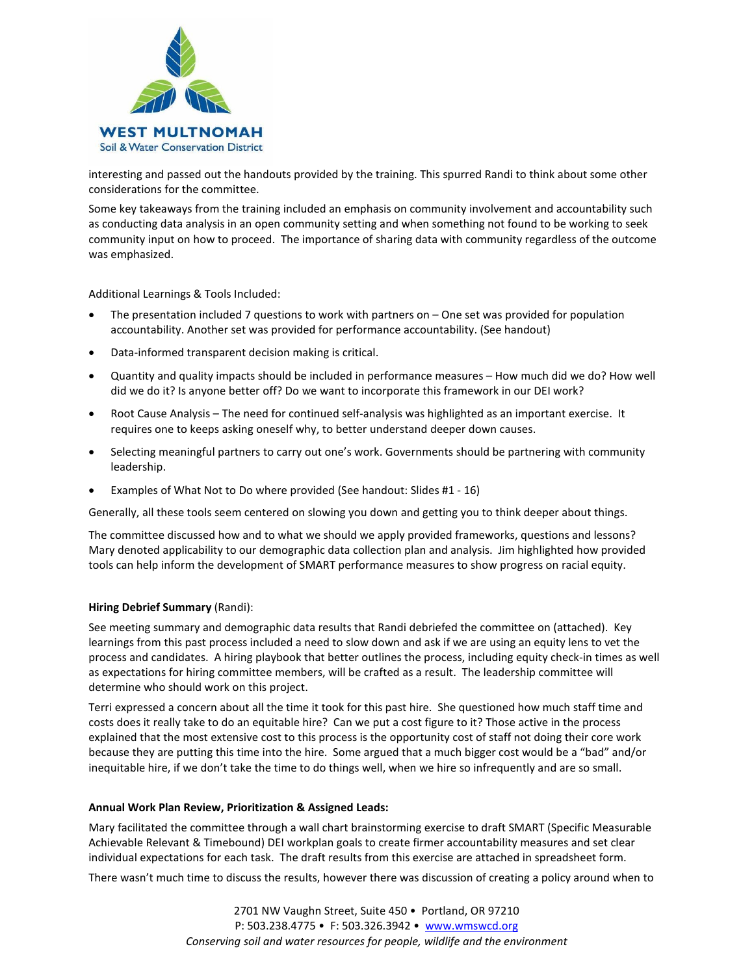

interesting and passed out the handouts provided by the training. This spurred Randi to think about some other considerations for the committee.

Some key takeaways from the training included an emphasis on community involvement and accountability such as conducting data analysis in an open community setting and when something not found to be working to seek community input on how to proceed. The importance of sharing data with community regardless of the outcome was emphasized.

Additional Learnings & Tools Included:

- The presentation included 7 questions to work with partners on One set was provided for population accountability. Another set was provided for performance accountability. (See handout)
- Data-informed transparent decision making is critical.
- Quantity and quality impacts should be included in performance measures How much did we do? How well did we do it? Is anyone better off? Do we want to incorporate this framework in our DEI work?
- Root Cause Analysis The need for continued self-analysis was highlighted as an important exercise. It requires one to keeps asking oneself why, to better understand deeper down causes.
- Selecting meaningful partners to carry out one's work. Governments should be partnering with community leadership.
- Examples of What Not to Do where provided (See handout: Slides #1 16)

Generally, all these tools seem centered on slowing you down and getting you to think deeper about things.

The committee discussed how and to what we should we apply provided frameworks, questions and lessons? Mary denoted applicability to our demographic data collection plan and analysis. Jim highlighted how provided tools can help inform the development of SMART performance measures to show progress on racial equity.

#### **Hiring Debrief Summary** (Randi):

See meeting summary and demographic data results that Randi debriefed the committee on (attached). Key learnings from this past process included a need to slow down and ask if we are using an equity lens to vet the process and candidates. A hiring playbook that better outlines the process, including equity check-in times as well as expectations for hiring committee members, will be crafted as a result. The leadership committee will determine who should work on this project.

Terri expressed a concern about all the time it took for this past hire. She questioned how much staff time and costs does it really take to do an equitable hire? Can we put a cost figure to it? Those active in the process explained that the most extensive cost to this process is the opportunity cost of staff not doing their core work because they are putting this time into the hire. Some argued that a much bigger cost would be a "bad" and/or inequitable hire, if we don't take the time to do things well, when we hire so infrequently and are so small.

#### **Annual Work Plan Review, Prioritization & Assigned Leads:**

Mary facilitated the committee through a wall chart brainstorming exercise to draft SMART (Specific Measurable Achievable Relevant & Timebound) DEI workplan goals to create firmer accountability measures and set clear individual expectations for each task. The draft results from this exercise are attached in spreadsheet form.

There wasn't much time to discuss the results, however there was discussion of creating a policy around when to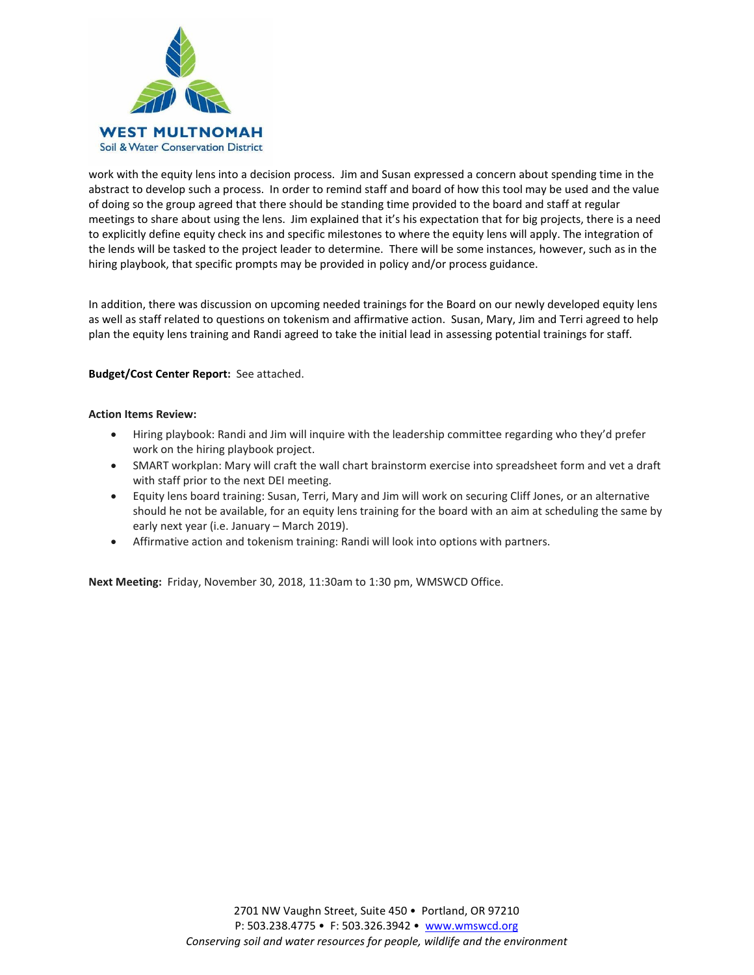

work with the equity lens into a decision process. Jim and Susan expressed a concern about spending time in the abstract to develop such a process. In order to remind staff and board of how this tool may be used and the value of doing so the group agreed that there should be standing time provided to the board and staff at regular meetings to share about using the lens. Jim explained that it's his expectation that for big projects, there is a need to explicitly define equity check ins and specific milestones to where the equity lens will apply. The integration of the lends will be tasked to the project leader to determine. There will be some instances, however, such as in the hiring playbook, that specific prompts may be provided in policy and/or process guidance.

In addition, there was discussion on upcoming needed trainings for the Board on our newly developed equity lens as well as staff related to questions on tokenism and affirmative action. Susan, Mary, Jim and Terri agreed to help plan the equity lens training and Randi agreed to take the initial lead in assessing potential trainings for staff.

## **Budget/Cost Center Report:** See attached.

#### **Action Items Review:**

- Hiring playbook: Randi and Jim will inquire with the leadership committee regarding who they'd prefer work on the hiring playbook project.
- SMART workplan: Mary will craft the wall chart brainstorm exercise into spreadsheet form and vet a draft with staff prior to the next DEI meeting.
- Equity lens board training: Susan, Terri, Mary and Jim will work on securing Cliff Jones, or an alternative should he not be available, for an equity lens training for the board with an aim at scheduling the same by early next year (i.e. January – March 2019).
- Affirmative action and tokenism training: Randi will look into options with partners.

**Next Meeting:** Friday, November 30, 2018, 11:30am to 1:30 pm, WMSWCD Office.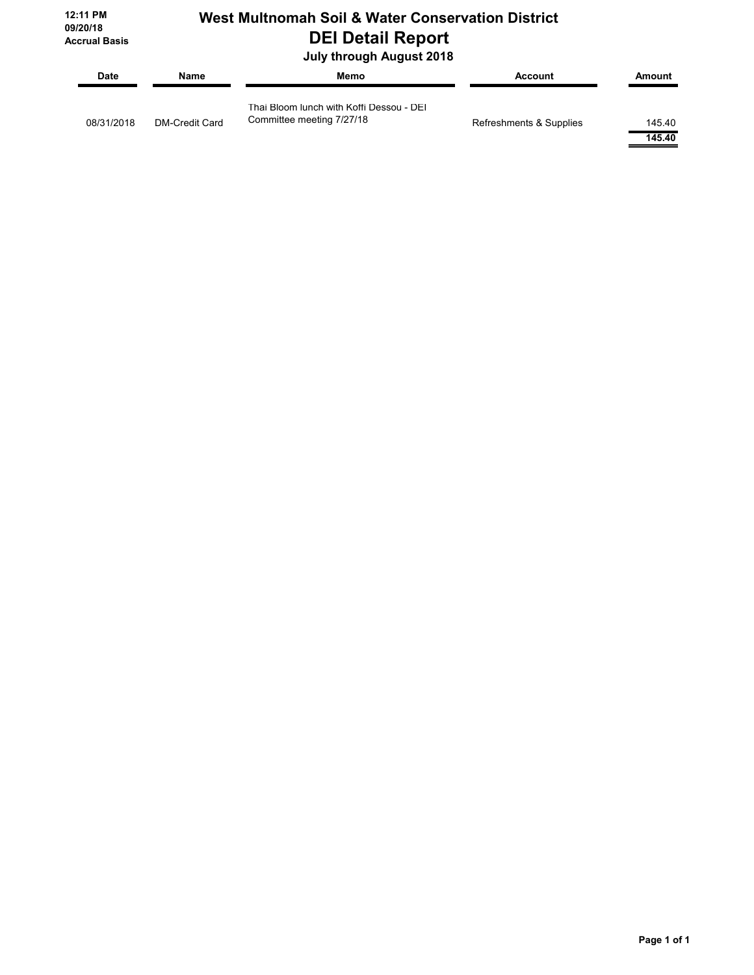**12:11 PM 09/20/18 Accrual Basis**

# **West Multnomah Soil & Water Conservation District DEI Detail Report**

 **July through August 2018**

| <b>Date</b> | Name           | Memo                                                                  | Account                 | Amount           |
|-------------|----------------|-----------------------------------------------------------------------|-------------------------|------------------|
| 08/31/2018  | DM-Credit Card | Thai Bloom lunch with Koffi Dessou - DEI<br>Committee meeting 7/27/18 | Refreshments & Supplies | 145.40<br>145.40 |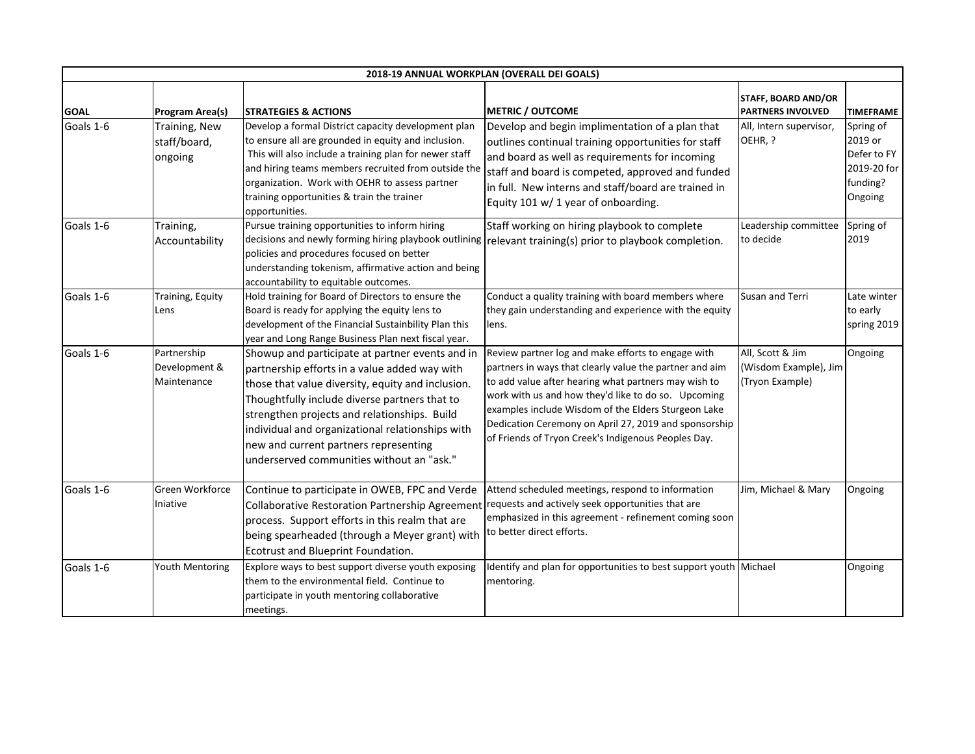| 2018-19 ANNUAL WORKPLAN (OVERALL DEI GOALS) |                                             |                                                                                                                                                                                                                                                                                                                                                                                                  |                                                                                                                                                                                                                                                                                                                                                                                                     |                                                              |                                                                           |  |  |  |
|---------------------------------------------|---------------------------------------------|--------------------------------------------------------------------------------------------------------------------------------------------------------------------------------------------------------------------------------------------------------------------------------------------------------------------------------------------------------------------------------------------------|-----------------------------------------------------------------------------------------------------------------------------------------------------------------------------------------------------------------------------------------------------------------------------------------------------------------------------------------------------------------------------------------------------|--------------------------------------------------------------|---------------------------------------------------------------------------|--|--|--|
| <b>GOAL</b>                                 | Program Area(s)                             | <b>STRATEGIES &amp; ACTIONS</b>                                                                                                                                                                                                                                                                                                                                                                  | <b>METRIC / OUTCOME</b>                                                                                                                                                                                                                                                                                                                                                                             | <b>STAFF, BOARD AND/OR</b><br><b>PARTNERS INVOLVED</b>       | <b>TIMEFRAME</b>                                                          |  |  |  |
| Goals 1-6                                   | Training, New<br>staff/board,<br>ongoing    | Develop a formal District capacity development plan<br>to ensure all are grounded in equity and inclusion.<br>This will also include a training plan for newer staff<br>and hiring teams members recruited from outside the<br>organization. Work with OEHR to assess partner<br>training opportunities & train the trainer<br>opportunities.                                                    | Develop and begin implimentation of a plan that<br>outlines continual training opportunities for staff<br>and board as well as requirements for incoming<br>staff and board is competed, approved and funded<br>in full. New interns and staff/board are trained in<br>Equity 101 w/ 1 year of onboarding.                                                                                          | All, Intern supervisor,<br>OEHR, ?                           | Spring of<br>2019 or<br>Defer to FY<br>2019-20 for<br>funding?<br>Ongoing |  |  |  |
| Goals 1-6                                   | Training,<br>Accountability                 | Pursue training opportunities to inform hiring<br>policies and procedures focused on better<br>understanding tokenism, affirmative action and being<br>accountability to equitable outcomes.                                                                                                                                                                                                     | Staff working on hiring playbook to complete<br>decisions and newly forming hiring playbook outlining relevant training(s) prior to playbook completion.                                                                                                                                                                                                                                            | Leadership committee<br>to decide                            | Spring of<br>2019                                                         |  |  |  |
| Goals 1-6                                   | Training, Equity<br>Lens                    | Hold training for Board of Directors to ensure the<br>Board is ready for applying the equity lens to<br>development of the Financial Sustainbility Plan this<br>year and Long Range Business Plan next fiscal year.                                                                                                                                                                              | Conduct a quality training with board members where<br>they gain understanding and experience with the equity<br>lens.                                                                                                                                                                                                                                                                              | Susan and Terri                                              | Late winter<br>to early<br>spring 2019                                    |  |  |  |
| Goals 1-6                                   | Partnership<br>Development &<br>Maintenance | Showup and participate at partner events and in<br>partnership efforts in a value added way with<br>those that value diversity, equity and inclusion.<br>Thoughtfully include diverse partners that to<br>strengthen projects and relationships. Build<br>individual and organizational relationships with<br>new and current partners representing<br>underserved communities without an "ask." | Review partner log and make efforts to engage with<br>partners in ways that clearly value the partner and aim<br>to add value after hearing what partners may wish to<br>work with us and how they'd like to do so. Upcoming<br>examples include Wisdom of the Elders Sturgeon Lake<br>Dedication Ceremony on April 27, 2019 and sponsorship<br>of Friends of Tryon Creek's Indigenous Peoples Day. | All, Scott & Jim<br>(Wisdom Example), Jim<br>(Tryon Example) | Ongoing                                                                   |  |  |  |
| Goals 1-6                                   | Green Workforce<br>Iniative                 | Continue to participate in OWEB, FPC and Verde<br>Collaborative Restoration Partnership Agreement requests and actively seek opportunities that are<br>process. Support efforts in this realm that are<br>being spearheaded (through a Meyer grant) with<br>Ecotrust and Blueprint Foundation.                                                                                                   | Attend scheduled meetings, respond to information<br>emphasized in this agreement - refinement coming soon<br>to better direct efforts.                                                                                                                                                                                                                                                             | Jim, Michael & Mary                                          | Ongoing                                                                   |  |  |  |
| Goals 1-6                                   | Youth Mentoring                             | Explore ways to best support diverse youth exposing<br>them to the environmental field. Continue to<br>participate in youth mentoring collaborative<br>meetings.                                                                                                                                                                                                                                 | Identify and plan for opportunities to best support youth Michael<br>mentoring.                                                                                                                                                                                                                                                                                                                     |                                                              | Ongoing                                                                   |  |  |  |